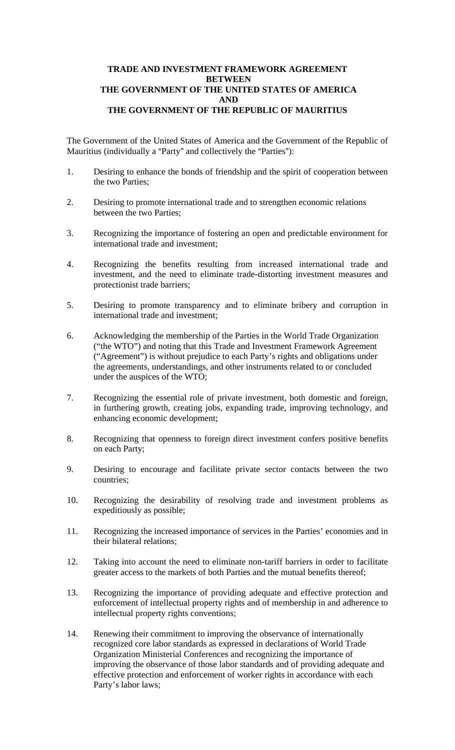## **TRADE AND INVESTMENT FRAMEWORK AGREEMENT BETWEEN THE GOVERNMENT OF THE UNITED STATES OF AMERICA AND THE GOVERNMENT OF THE REPUBLIC OF MAURITIUS**

The Government of the United States of America and the Government of the Republic of Mauritius (individually a "Party" and collectively the "Parties"):

- 1. Desiring to enhance the bonds of friendship and the spirit of cooperation between the two Parties;
- 2. Desiring to promote international trade and to strengthen economic relations between the two Parties;
- 3. Recognizing the importance of fostering an open and predictable environment for international trade and investment;
- 4. Recognizing the benefits resulting from increased international trade and investment, and the need to eliminate trade-distorting investment measures and protectionist trade barriers;
- 5. Desiring to promote transparency and to eliminate bribery and corruption in international trade and investment;
- 6. Acknowledging the membership of the Parties in the World Trade Organization ("the WTO") and noting that this Trade and Investment Framework Agreement ("Agreement") is without prejudice to each Party's rights and obligations under the agreements, understandings, and other instruments related to or concluded under the auspices of the WTO;
- 7. Recognizing the essential role of private investment, both domestic and foreign, in furthering growth, creating jobs, expanding trade, improving technology, and enhancing economic development;
- 8. Recognizing that openness to foreign direct investment confers positive benefits on each Party;
- 9. Desiring to encourage and facilitate private sector contacts between the two countries;
- 10. Recognizing the desirability of resolving trade and investment problems as expeditiously as possible;
- 11. Recognizing the increased importance of services in the Parties' economies and in their bilateral relations;
- 12. Taking into account the need to eliminate non-tariff barriers in order to facilitate greater access to the markets of both Parties and the mutual benefits thereof;
- 13. Recognizing the importance of providing adequate and effective protection and enforcement of intellectual property rights and of membership in and adherence to intellectual property rights conventions;
- 14. Renewing their commitment to improving the observance of internationally recognized core labor standards as expressed in declarations of World Trade Organization Ministerial Conferences and recognizing the importance of improving the observance of those labor standards and of providing adequate and effective protection and enforcement of worker rights in accordance with each Party's labor laws;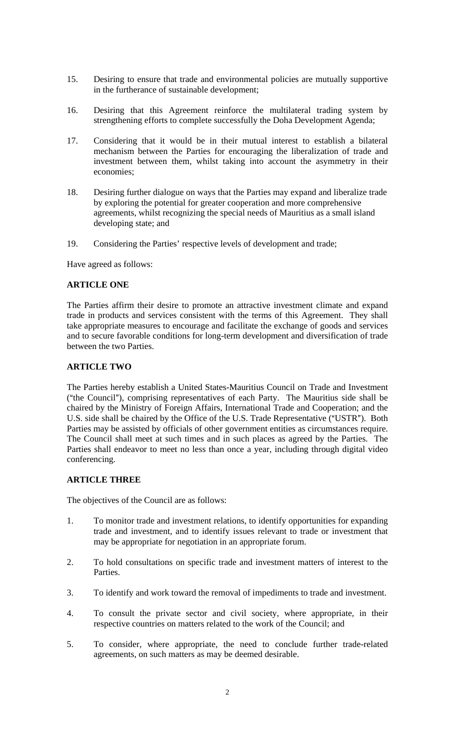- 15. Desiring to ensure that trade and environmental policies are mutually supportive in the furtherance of sustainable development;
- 16. Desiring that this Agreement reinforce the multilateral trading system by strengthening efforts to complete successfully the Doha Development Agenda;
- 17. Considering that it would be in their mutual interest to establish a bilateral mechanism between the Parties for encouraging the liberalization of trade and investment between them, whilst taking into account the asymmetry in their economies;
- 18. Desiring further dialogue on ways that the Parties may expand and liberalize trade by exploring the potential for greater cooperation and more comprehensive agreements, whilst recognizing the special needs of Mauritius as a small island developing state; and
- 19. Considering the Parties' respective levels of development and trade;

Have agreed as follows:

### **ARTICLE ONE**

The Parties affirm their desire to promote an attractive investment climate and expand trade in products and services consistent with the terms of this Agreement. They shall take appropriate measures to encourage and facilitate the exchange of goods and services and to secure favorable conditions for long-term development and diversification of trade between the two Parties.

## **ARTICLE TWO**

The Parties hereby establish a United States-Mauritius Council on Trade and Investment  $("the Council"), comprising representatives of each Party. The Mauritius side shall be$ chaired by the Ministry of Foreign Affairs, International Trade and Cooperation; and the U.S. side shall be chaired by the Office of the U.S. Trade Representative ("USTR"). Both Parties may be assisted by officials of other government entities as circumstances require. The Council shall meet at such times and in such places as agreed by the Parties. The Parties shall endeavor to meet no less than once a year, including through digital video conferencing.

## **ARTICLE THREE**

The objectives of the Council are as follows:

- 1. To monitor trade and investment relations, to identify opportunities for expanding trade and investment, and to identify issues relevant to trade or investment that may be appropriate for negotiation in an appropriate forum.
- 2. To hold consultations on specific trade and investment matters of interest to the Parties.
- 3. To identify and work toward the removal of impediments to trade and investment.
- 4. To consult the private sector and civil society, where appropriate, in their respective countries on matters related to the work of the Council; and
- 5. To consider, where appropriate, the need to conclude further trade-related agreements, on such matters as may be deemed desirable.